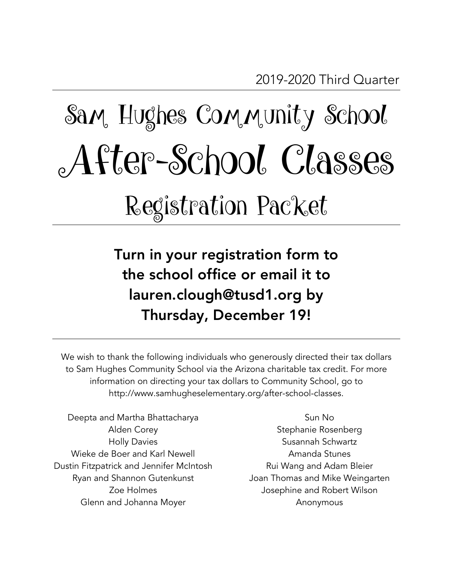# Sam, Hughes Community School After-School Classes Registration Packet

Turn in your registration form to the school office or email it to lauren.clough@tusd1.org by Thursday, December 19!

We wish to thank the following individuals who generously directed their tax dollars to Sam Hughes Community School via the Arizona charitable tax credit. For more information on directing your tax dollars to Community School, go to http://www.samhugheselementary.org/after-school-classes.

Deepta and Martha Bhattacharya Alden Corey Holly Davies Wieke de Boer and Karl Newell Dustin Fitzpatrick and Jennifer McIntosh Ryan and Shannon Gutenkunst Zoe Holmes Glenn and Johanna Moyer

Sun No Stephanie Rosenberg Susannah Schwartz Amanda Stunes Rui Wang and Adam Bleier Joan Thomas and Mike Weingarten Josephine and Robert Wilson Anonymous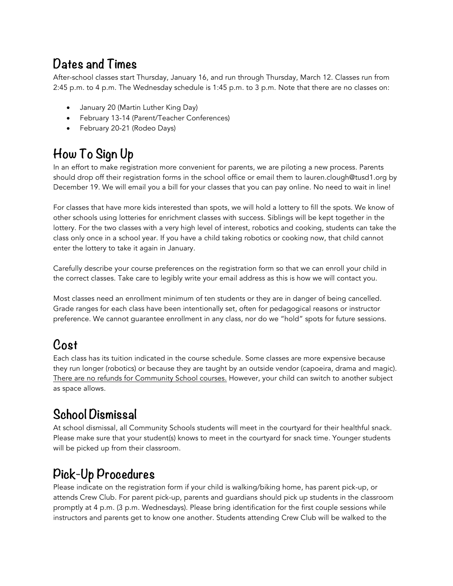#### **Dates and Times**

After-school classes start Thursday, January 16, and run through Thursday, March 12. Classes run from 2:45 p.m. to 4 p.m. The Wednesday schedule is 1:45 p.m. to 3 p.m. Note that there are no classes on:

- January 20 (Martin Luther King Day)
- February 13-14 (Parent/Teacher Conferences)
- February 20-21 (Rodeo Days)

#### **How To Sign Up**

In an effort to make registration more convenient for parents, we are piloting a new process. Parents should drop off their registration forms in the school office or email them to lauren.clough@tusd1.org by December 19. We will email you a bill for your classes that you can pay online. No need to wait in line!

For classes that have more kids interested than spots, we will hold a lottery to fill the spots. We know of other schools using lotteries for enrichment classes with success. Siblings will be kept together in the lottery. For the two classes with a very high level of interest, robotics and cooking, students can take the class only once in a school year. If you have a child taking robotics or cooking now, that child cannot enter the lottery to take it again in January.

Carefully describe your course preferences on the registration form so that we can enroll your child in the correct classes. Take care to legibly write your email address as this is how we will contact you.

Most classes need an enrollment minimum of ten students or they are in danger of being cancelled. Grade ranges for each class have been intentionally set, often for pedagogical reasons or instructor preference. We cannot guarantee enrollment in any class, nor do we "hold" spots for future sessions.

## **Cost**

Each class has its tuition indicated in the course schedule. Some classes are more expensive because they run longer (robotics) or because they are taught by an outside vendor (capoeira, drama and magic). There are no refunds for Community School courses. However, your child can switch to another subject as space allows.

#### **School Dismissal**

At school dismissal, all Community Schools students will meet in the courtyard for their healthful snack. Please make sure that your student(s) knows to meet in the courtyard for snack time. Younger students will be picked up from their classroom.

#### **Pick-Up Procedures**

Please indicate on the registration form if your child is walking/biking home, has parent pick-up, or attends Crew Club. For parent pick-up, parents and guardians should pick up students in the classroom promptly at 4 p.m. (3 p.m. Wednesdays). Please bring identification for the first couple sessions while instructors and parents get to know one another. Students attending Crew Club will be walked to the